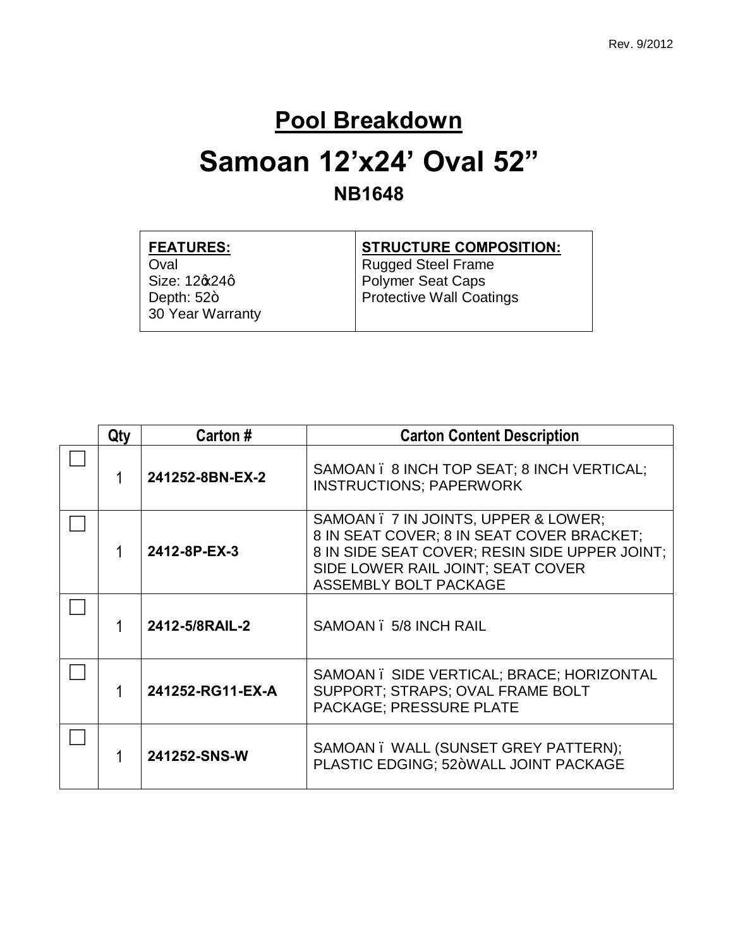#### **Pool Breakdown**

#### **Samoan 12'x24' Oval 52" NB1648**

| <b>FEATURES:</b>                 | <b>STRUCTURE COMPOSITION:</b> |
|----------------------------------|-------------------------------|
| Oval                             | <b>Rugged Steel Frame</b>     |
| Size: 12 $\alpha$ 24q            | <b>Polymer Seat Caps</b>      |
| Depth: $52+$<br>30 Year Warranty | Protective Wall Coatings      |

| Qty | Carton #         | <b>Carton Content Description</b>                                                                                                                                                                |
|-----|------------------|--------------------------------------------------------------------------------------------------------------------------------------------------------------------------------------------------|
|     | 241252-8BN-EX-2  | SAMOAN . 8 INCH TOP SEAT; 8 INCH VERTICAL;<br><b>INSTRUCTIONS; PAPERWORK</b>                                                                                                                     |
|     | 2412-8P-EX-3     | SAMOAN . 7 IN JOINTS, UPPER & LOWER;<br>8 IN SEAT COVER; 8 IN SEAT COVER BRACKET;<br>8 IN SIDE SEAT COVER; RESIN SIDE UPPER JOINT;<br>SIDE LOWER RAIL JOINT; SEAT COVER<br>ASSEMBLY BOLT PACKAGE |
|     | 2412-5/8RAIL-2   | SAMOAN . 5/8 INCH RAIL                                                                                                                                                                           |
|     | 241252-RG11-EX-A | SAMOAN. SIDE VERTICAL; BRACE; HORIZONTAL<br>SUPPORT; STRAPS; OVAL FRAME BOLT<br>PACKAGE; PRESSURE PLATE                                                                                          |
|     | 241252-SNS-W     | SAMOAN. WALL (SUNSET GREY PATTERN);<br>PLASTIC EDGING; 52+WALL JOINT PACKAGE                                                                                                                     |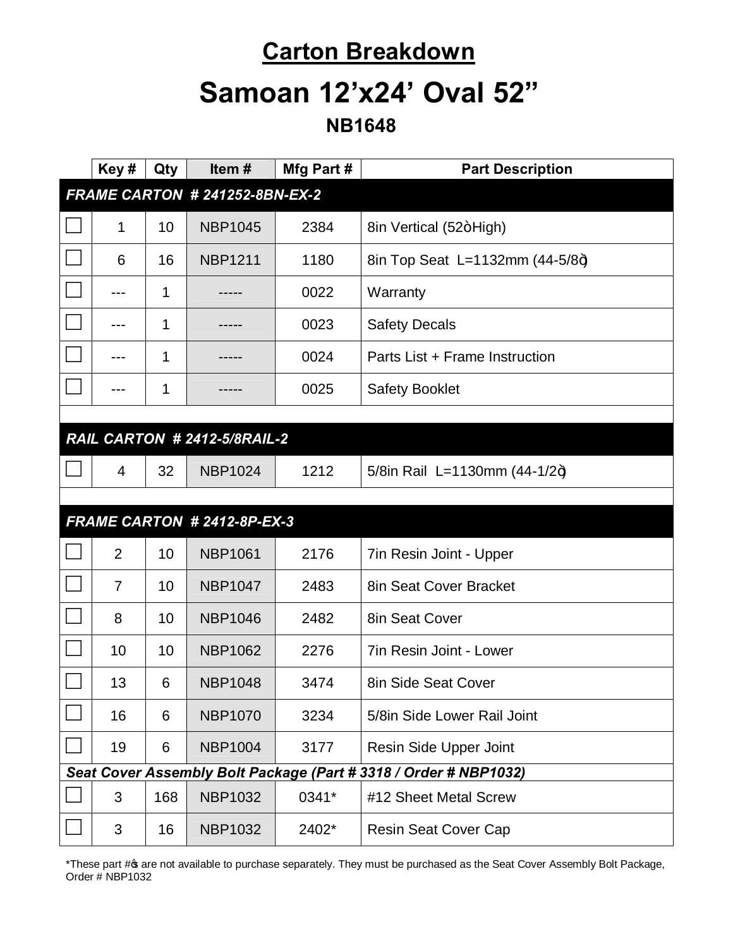# **Carton Breakdown Samoan 12'x24' Oval 52"**

 **NB1648**

|                                | Key#           | Qty | Item#                        | Mfg Part # | <b>Part Description</b>                                          |  |
|--------------------------------|----------------|-----|------------------------------|------------|------------------------------------------------------------------|--|
| FRAME CARTON # 241252-8BN-EX-2 |                |     |                              |            |                                                                  |  |
|                                | 1              | 10  | <b>NBP1045</b>               | 2384       | 8in Vertical (52+High)                                           |  |
|                                | 6              | 16  | <b>NBP1211</b>               | 1180       | 8in Top Seat L=1132mm (44-5/8+)                                  |  |
|                                | ---            | 1   |                              | 0022       | Warranty                                                         |  |
|                                | ---            | 1   |                              | 0023       | <b>Safety Decals</b>                                             |  |
|                                |                | 1   |                              | 0024       | Parts List + Frame Instruction                                   |  |
|                                |                | 1   |                              | 0025       | <b>Safety Booklet</b>                                            |  |
|                                |                |     |                              |            |                                                                  |  |
|                                |                |     | RAIL CARTON # 2412-5/8RAIL-2 |            |                                                                  |  |
|                                | $\overline{4}$ | 32  | <b>NBP1024</b>               | 1212       | 5/8in Rail L=1130mm $(44-1/2+)$                                  |  |
|                                |                |     |                              |            |                                                                  |  |
|                                |                |     | FRAME CARTON # 2412-8P-EX-3  |            |                                                                  |  |
|                                |                |     |                              |            |                                                                  |  |
|                                | $\overline{2}$ | 10  | <b>NBP1061</b>               | 2176       | 7in Resin Joint - Upper                                          |  |
|                                | $\overline{7}$ | 10  | <b>NBP1047</b>               | 2483       | 8in Seat Cover Bracket                                           |  |
|                                | 8              | 10  | <b>NBP1046</b>               | 2482       | 8in Seat Cover                                                   |  |
|                                | 10             | 10  | <b>NBP1062</b>               | 2276       | 7in Resin Joint - Lower                                          |  |
|                                | 13             | 6   | <b>NBP1048</b>               | 3474       | 8in Side Seat Cover                                              |  |
|                                | 16             | 6   | <b>NBP1070</b>               | 3234       | 5/8in Side Lower Rail Joint                                      |  |
|                                | 19             | 6   | <b>NBP1004</b>               | 3177       | Resin Side Upper Joint                                           |  |
|                                |                |     |                              |            | Seat Cover Assembly Bolt Package (Part # 3318 / Order # NBP1032) |  |
|                                | 3              | 168 | <b>NBP1032</b>               | 0341*      | #12 Sheet Metal Screw                                            |  |

\*These part # are not available to purchase separately. They must be purchased as the Seat Cover Assembly Bolt Package, Order # NBP1032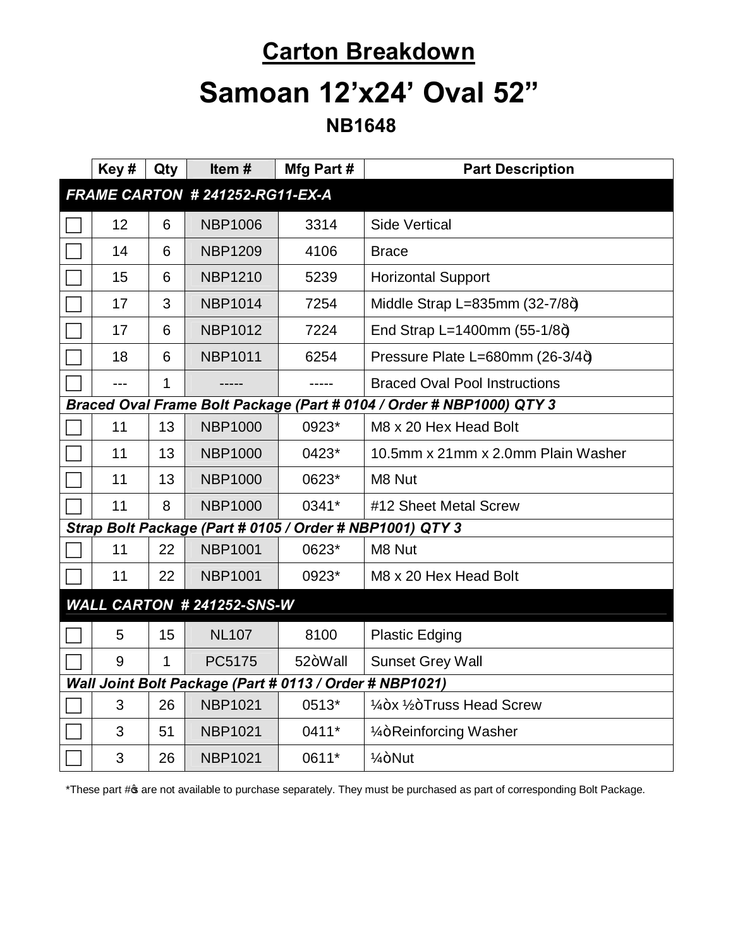#### **Carton Breakdown**

## **Samoan 12'x24' Oval 52"**

 **NB1648**

|                                                         | Key#                                                                 | Qty | Item#          | Mfg Part#   | <b>Part Description</b>                                  |  |
|---------------------------------------------------------|----------------------------------------------------------------------|-----|----------------|-------------|----------------------------------------------------------|--|
| FRAME CARTON # 241252-RG11-EX-A                         |                                                                      |     |                |             |                                                          |  |
|                                                         | 12                                                                   | 6   | <b>NBP1006</b> | 3314        | <b>Side Vertical</b>                                     |  |
|                                                         | 14                                                                   | 6   | <b>NBP1209</b> | 4106        | <b>Brace</b>                                             |  |
|                                                         | 15                                                                   | 6   | <b>NBP1210</b> | 5239        | <b>Horizontal Support</b>                                |  |
|                                                         | 17                                                                   | 3   | <b>NBP1014</b> | 7254        | Middle Strap L=835mm $(32-7/8+)$                         |  |
|                                                         | 17                                                                   | 6   | <b>NBP1012</b> | 7224        | End Strap L=1400mm $(55-1/8+)$                           |  |
|                                                         | 18                                                                   | 6   | <b>NBP1011</b> | 6254        | Pressure Plate L=680mm (26-3/4+)                         |  |
|                                                         | $---$                                                                | 1   |                | $- - - - -$ | <b>Braced Oval Pool Instructions</b>                     |  |
|                                                         | Braced Oval Frame Bolt Package (Part # 0104 / Order # NBP1000) QTY 3 |     |                |             |                                                          |  |
|                                                         | 11                                                                   | 13  | <b>NBP1000</b> | 0923*       | M8 x 20 Hex Head Bolt                                    |  |
|                                                         | 11                                                                   | 13  | <b>NBP1000</b> | 0423*       | 10.5mm x 21mm x 2.0mm Plain Washer                       |  |
|                                                         | 11                                                                   | 13  | <b>NBP1000</b> | 0623*       | M8 Nut                                                   |  |
|                                                         | 11                                                                   | 8   | <b>NBP1000</b> | 0341*       | #12 Sheet Metal Screw                                    |  |
|                                                         |                                                                      |     |                |             | Strap Bolt Package (Part # 0105 / Order # NBP1001) QTY 3 |  |
|                                                         | 11                                                                   | 22  | <b>NBP1001</b> | 0623*       | M8 Nut                                                   |  |
|                                                         | 11                                                                   | 22  | <b>NBP1001</b> | 0923*       | M8 x 20 Hex Head Bolt                                    |  |
| WALL CARTON # 241252-SNS-W                              |                                                                      |     |                |             |                                                          |  |
|                                                         | 5                                                                    | 15  | <b>NL107</b>   | 8100        | <b>Plastic Edging</b>                                    |  |
|                                                         | 9                                                                    | 1   | PC5175         | 52+Wall     | <b>Sunset Grey Wall</b>                                  |  |
| Wall Joint Bolt Package (Part # 0113 / Order # NBP1021) |                                                                      |     |                |             |                                                          |  |
|                                                         | 3                                                                    | 26  | <b>NBP1021</b> | 0513*       | 1/ <sub>4</sub> +x 1/ <sub>2</sub> +Truss Head Screw     |  |
|                                                         | 3                                                                    | 51  | <b>NBP1021</b> | 0411*       | 1/ <sub>4</sub> +Reinforcing Washer                      |  |
|                                                         | 3                                                                    | 26  | <b>NBP1021</b> | 0611*       | $1/4 + N$ ut                                             |  |

\*These part # are not available to purchase separately. They must be purchased as part of corresponding Bolt Package.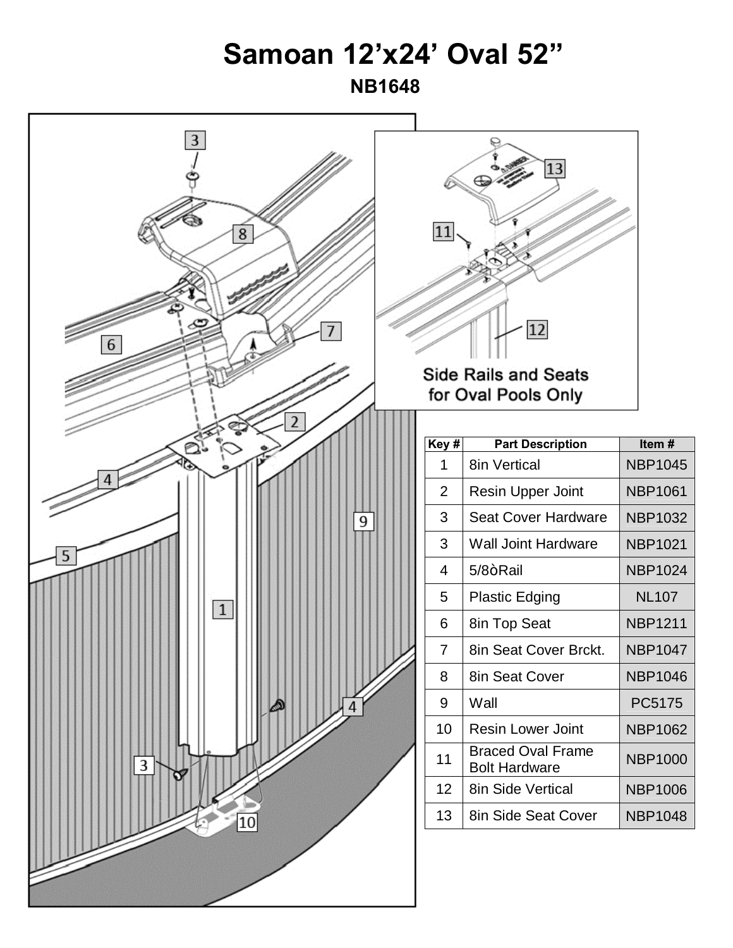### **Samoan 12'x24' Oval 52"**

 **NB1648**